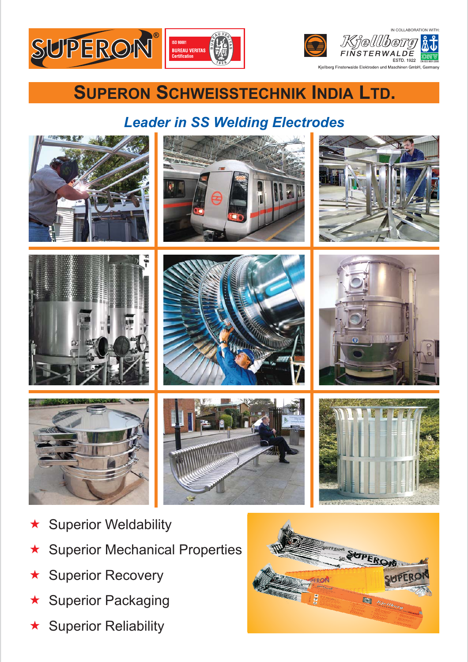



## **SUPERON SCHWEISSTECHNIK INDIA LTD.**

## *Leader in SS Welding Electrodes*



- $\bigstar$ Superior Weldability
- $\bigstar$ Superior Mechanical Properties
- $\bigstar$ Superior Recovery
- $\bigstar$ Superior Packaging
- $\bigstar$ Superior Reliability